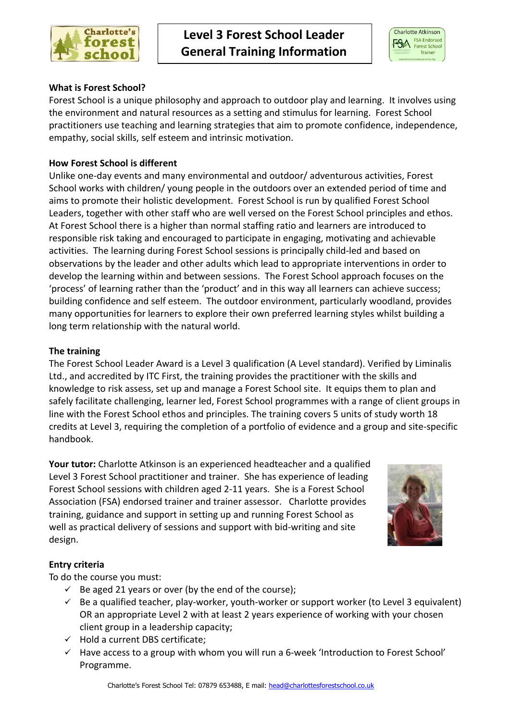



# **What is Forest School?**

Forest School is a unique philosophy and approach to outdoor play and learning. It involves using the environment and natural resources as a setting and stimulus for learning. Forest School practitioners use teaching and learning strategies that aim to promote confidence, independence, empathy, social skills, self esteem and intrinsic motivation.

## **How Forest School is different**

Unlike one-day events and many environmental and outdoor/ adventurous activities, Forest School works with children/ young people in the outdoors over an extended period of time and aims to promote their holistic development. Forest School is run by qualified Forest School Leaders, together with other staff who are well versed on the Forest School principles and ethos. At Forest School there is a higher than normal staffing ratio and learners are introduced to responsible risk taking and encouraged to participate in engaging, motivating and achievable activities. The learning during Forest School sessions is principally child-led and based on observations by the leader and other adults which lead to appropriate interventions in order to develop the learning within and between sessions. The Forest School approach focuses on the 'process' of learning rather than the 'product' and in this way all learners can achieve success; building confidence and self esteem. The outdoor environment, particularly woodland, provides many opportunities for learners to explore their own preferred learning styles whilst building a long term relationship with the natural world.

### **The training**

The Forest School Leader Award is a Level 3 qualification (A Level standard). Verified by Liminalis Ltd., and accredited by ITC First, the training provides the practitioner with the skills and knowledge to risk assess, set up and manage a Forest School site. It equips them to plan and safely facilitate challenging, learner led, Forest School programmes with a range of client groups in line with the Forest School ethos and principles. The training covers 5 units of study worth 18 credits at Level 3, requiring the completion of a portfolio of evidence and a group and site-specific handbook.

**Your tutor:** Charlotte Atkinson is an experienced headteacher and a qualified Level 3 Forest School practitioner and trainer. She has experience of leading Forest School sessions with children aged 2-11 years. She is a Forest School Association (FSA) endorsed trainer and trainer assessor. Charlotte provides training, guidance and support in setting up and running Forest School as well as practical delivery of sessions and support with bid-writing and site design.



# **Entry criteria**

To do the course you must:

- $\checkmark$  Be aged 21 years or over (by the end of the course);
- $\checkmark$  Be a qualified teacher, play-worker, youth-worker or support worker (to Level 3 equivalent) OR an appropriate Level 2 with at least 2 years experience of working with your chosen client group in a leadership capacity;
- $\checkmark$  Hold a current DBS certificate;
- $\checkmark$  Have access to a group with whom you will run a 6-week 'Introduction to Forest School' Programme.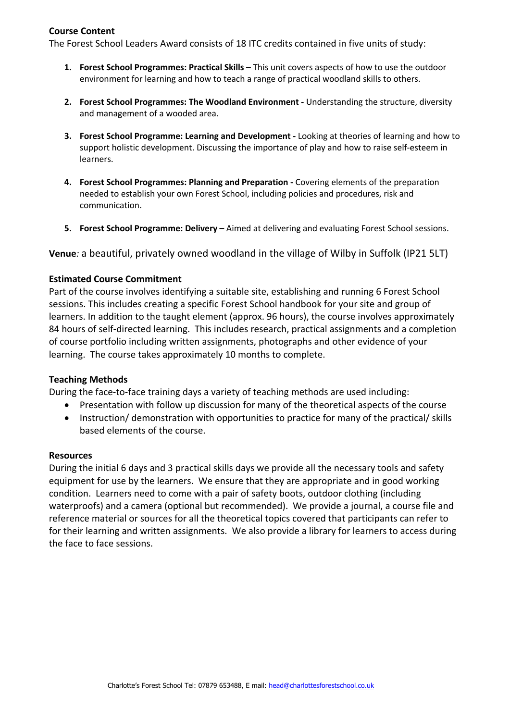### **Course Content**

The Forest School Leaders Award consists of 18 ITC credits contained in five units of study:

- **1. Forest School Programmes: Practical Skills –** This unit covers aspects of how to use the outdoor environment for learning and how to teach a range of practical woodland skills to others.
- **2. Forest School Programmes: The Woodland Environment -** Understanding the structure, diversity and management of a wooded area.
- **3. Forest School Programme: Learning and Development -** Looking at theories of learning and how to support holistic development. Discussing the importance of play and how to raise self-esteem in learners.
- **4. Forest School Programmes: Planning and Preparation -** Covering elements of the preparation needed to establish your own Forest School, including policies and procedures, risk and communication.
- **5. Forest School Programme: Delivery –** Aimed at delivering and evaluating Forest School sessions.

**Venue***:* a beautiful, privately owned woodland in the village of Wilby in Suffolk (IP21 5LT)

### **Estimated Course Commitment**

Part of the course involves identifying a suitable site, establishing and running 6 Forest School sessions. This includes creating a specific Forest School handbook for your site and group of learners. In addition to the taught element (approx. 96 hours), the course involves approximately 84 hours of self-directed learning. This includes research, practical assignments and a completion of course portfolio including written assignments, photographs and other evidence of your learning. The course takes approximately 10 months to complete.

#### **Teaching Methods**

During the face-to-face training days a variety of teaching methods are used including:

- Presentation with follow up discussion for many of the theoretical aspects of the course
- Instruction/ demonstration with opportunities to practice for many of the practical/ skills based elements of the course.

#### **Resources**

During the initial 6 days and 3 practical skills days we provide all the necessary tools and safety equipment for use by the learners. We ensure that they are appropriate and in good working condition. Learners need to come with a pair of safety boots, outdoor clothing (including waterproofs) and a camera (optional but recommended). We provide a journal, a course file and reference material or sources for all the theoretical topics covered that participants can refer to for their learning and written assignments. We also provide a library for learners to access during the face to face sessions.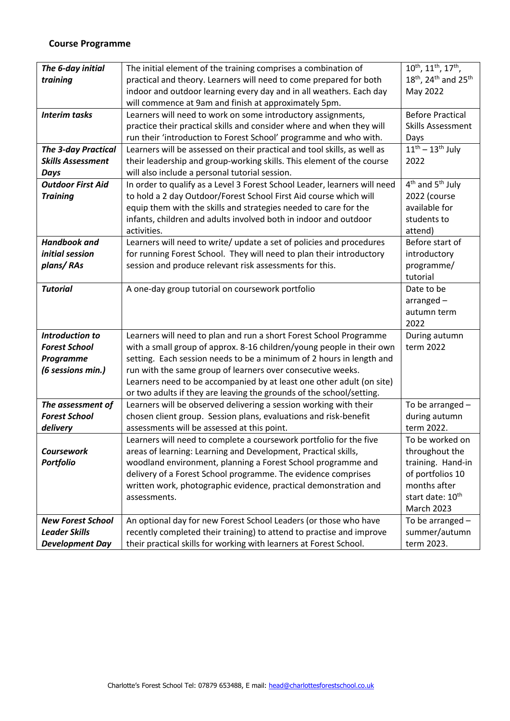### **Course Programme**

| The 6-day initial          | The initial element of the training comprises a combination of                                                                                | 10 <sup>th</sup> , 11 <sup>th</sup> , 17 <sup>th</sup> , |
|----------------------------|-----------------------------------------------------------------------------------------------------------------------------------------------|----------------------------------------------------------|
| training                   | practical and theory. Learners will need to come prepared for both                                                                            | 18 <sup>th</sup> , 24 <sup>th</sup> and 25 <sup>th</sup> |
|                            | indoor and outdoor learning every day and in all weathers. Each day                                                                           | May 2022                                                 |
|                            | will commence at 9am and finish at approximately 5pm.                                                                                         |                                                          |
| <b>Interim tasks</b>       | Learners will need to work on some introductory assignments,                                                                                  | <b>Before Practical</b>                                  |
|                            | practice their practical skills and consider where and when they will                                                                         | <b>Skills Assessment</b>                                 |
|                            | run their 'introduction to Forest School' programme and who with.                                                                             | Days                                                     |
| <b>The 3-day Practical</b> | Learners will be assessed on their practical and tool skills, as well as                                                                      | $11th - 13th$ July                                       |
| <b>Skills Assessment</b>   | their leadership and group-working skills. This element of the course                                                                         | 2022                                                     |
| <b>Days</b>                | will also include a personal tutorial session.                                                                                                |                                                          |
| <b>Outdoor First Aid</b>   | In order to qualify as a Level 3 Forest School Leader, learners will need                                                                     | 4 <sup>th</sup> and 5 <sup>th</sup> July                 |
| <b>Training</b>            | to hold a 2 day Outdoor/Forest School First Aid course which will                                                                             | 2022 (course                                             |
|                            | equip them with the skills and strategies needed to care for the                                                                              | available for                                            |
|                            | infants, children and adults involved both in indoor and outdoor                                                                              | students to                                              |
|                            | activities.                                                                                                                                   | attend)                                                  |
| <b>Handbook and</b>        | Learners will need to write/ update a set of policies and procedures                                                                          | Before start of                                          |
| initial session            | for running Forest School. They will need to plan their introductory                                                                          | introductory                                             |
| plans/RAs                  | session and produce relevant risk assessments for this.                                                                                       | programme/                                               |
|                            |                                                                                                                                               | tutorial                                                 |
| <b>Tutorial</b>            | A one-day group tutorial on coursework portfolio                                                                                              | Date to be                                               |
|                            |                                                                                                                                               | $arranged -$                                             |
|                            |                                                                                                                                               | autumn term                                              |
|                            |                                                                                                                                               | 2022                                                     |
| <b>Introduction to</b>     | Learners will need to plan and run a short Forest School Programme                                                                            | During autumn                                            |
| <b>Forest School</b>       | with a small group of approx. 8-16 children/young people in their own                                                                         | term 2022                                                |
| <b>Programme</b>           | setting. Each session needs to be a minimum of 2 hours in length and                                                                          |                                                          |
| (6 sessions min.)          | run with the same group of learners over consecutive weeks.                                                                                   |                                                          |
|                            | Learners need to be accompanied by at least one other adult (on site)<br>or two adults if they are leaving the grounds of the school/setting. |                                                          |
| The assessment of          | Learners will be observed delivering a session working with their                                                                             | To be arranged -                                         |
| <b>Forest School</b>       | chosen client group. Session plans, evaluations and risk-benefit                                                                              | during autumn                                            |
| delivery                   | assessments will be assessed at this point.                                                                                                   | term 2022.                                               |
|                            | Learners will need to complete a coursework portfolio for the five                                                                            | To be worked on                                          |
| Coursework                 | areas of learning: Learning and Development, Practical skills,                                                                                | throughout the                                           |
| <b>Portfolio</b>           | woodland environment, planning a Forest School programme and                                                                                  | training. Hand-in                                        |
|                            | delivery of a Forest School programme. The evidence comprises                                                                                 | of portfolios 10                                         |
|                            | written work, photographic evidence, practical demonstration and                                                                              | months after                                             |
|                            | assessments.                                                                                                                                  | start date: 10 <sup>th</sup>                             |
|                            |                                                                                                                                               | <b>March 2023</b>                                        |
| <b>New Forest School</b>   | An optional day for new Forest School Leaders (or those who have                                                                              | To be arranged -                                         |
| <b>Leader Skills</b>       | recently completed their training) to attend to practise and improve                                                                          | summer/autumn                                            |
| <b>Development Day</b>     | their practical skills for working with learners at Forest School.                                                                            | term 2023.                                               |